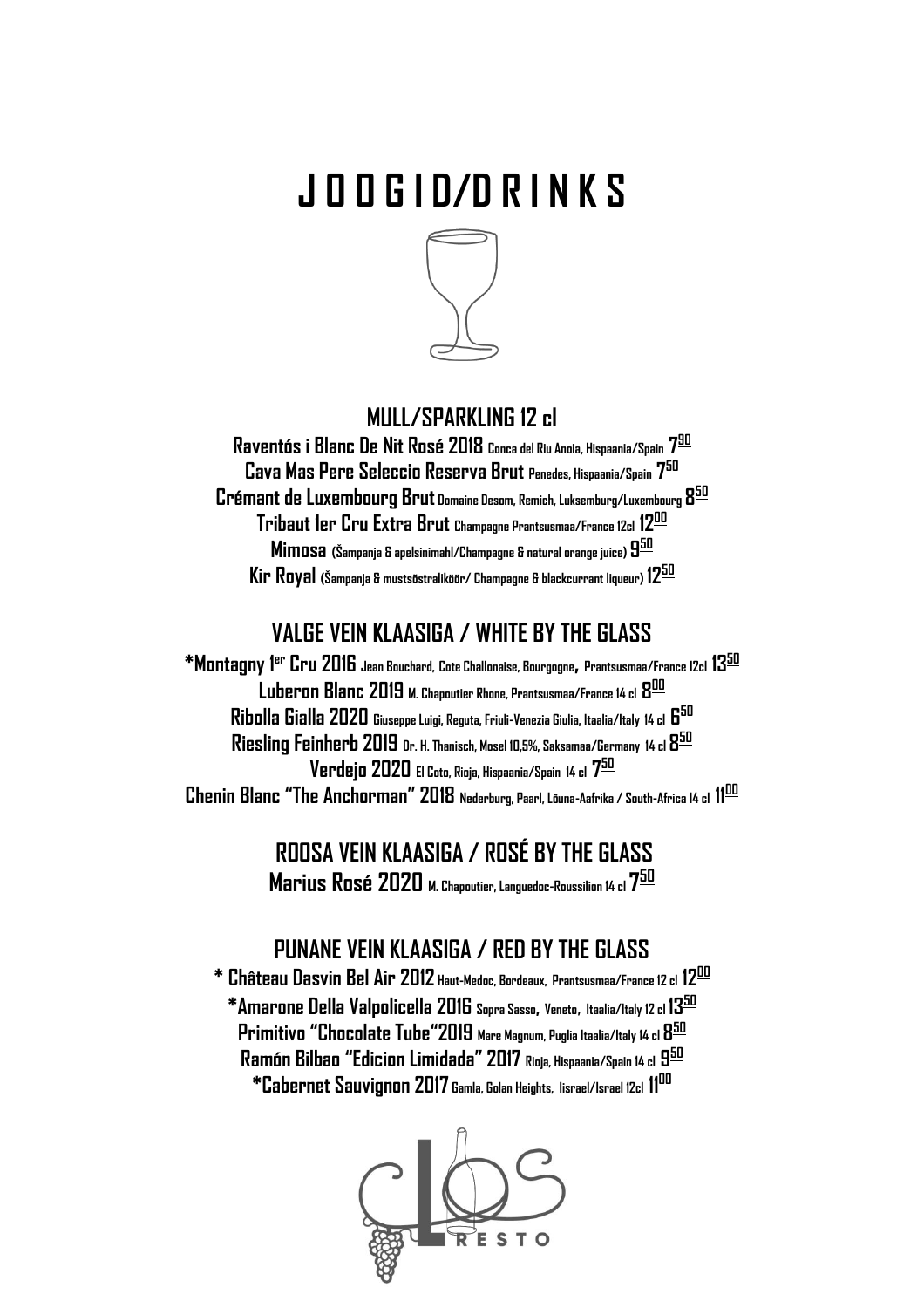# **J O O G I D/D R I N K S**



## **MULL/SPARKLING 12 cl**

**Raventós i Blanc De Nit Rosé 2018 Conca del Riu Anoia, Hispaania/Spain 7 90 Cava Mas Pere Seleccio Reserva Brut Penedes, Hispaania/Spain 7 50 Crémant de Luxembourg Brut Domaine Desom, Remich, Luksemburg/Luxembourg 8 50 Tribaut 1er Cru Extra Brut Champagne Prantsusmaa/France 12cl 12<sup>00</sup> Mimosa (Šampanja & apelsinimahl/Champagne & natural orange juice) 9 50 Kir Royal (Šampanja & mustsõstraliköör/ Champagne & blackcurrant liqueur) 12<sup>50</sup>**

# **VALGE VEIN KLAASIGA / WHITE BY THE GLASS**

**\*Montagny 1 er Cru 2016 Jean Bouchard, Cote Challonaise, Bourgogne, Prantsusmaa/France 12cl 13<sup>50</sup> Luberon Blanc 2019 M. Chapoutier Rhone, Prantsusmaa/France 14 cl 8 00 Ribolla Gialla 2020 Giuseppe Luigi, Reguta, Friuli-Venezia Giulia, Itaalia/Italy 14 cl 6 50 Riesling Feinherb 2019 Dr. H. Thanisch, Mosel 10,5%, Saksamaa/Germany 14 cl 8 50 Verdejo 2020 El Coto, Rioja, Hispaania/Spain 14 cl 7 50 Chenin Blanc "The Anchorman" 2018 Nederburg, Paarl, Lõuna-Aafrika / South-Africa 14 cl 11<sup>00</sup>**

> **ROOSA VEIN KLAASIGA / ROSÉ BY THE GLASS Marius Rosé 2020 M. Chapoutier, Languedoc-Roussilion 14 cl 7 50**

## **PUNANE VEIN KLAASIGA / RED BY THE GLASS**

**\* Château Dasvin Bel Air 2012 Haut-Medoc, Bordeaux, Prantsusmaa/France 12 cl 12<sup>00</sup> \*Amarone Della Valpolicella 2016 Sopra Sasso, Veneto**, **Itaalia/Italy 12 cl 13<sup>50</sup> Primitivo "Chocolate Tube"2019 Mare Magnum, Puglia Itaalia/Italy 14 cl 8 50 Ramón Bilbao "Edicion Limidada" 2017 Rioja, Hispaania/Spain 14 cl 9 50 \*Cabernet Sauvignon 2017 Gamla, Golan Heights, Iisrael/Israel 12cl 11 00**

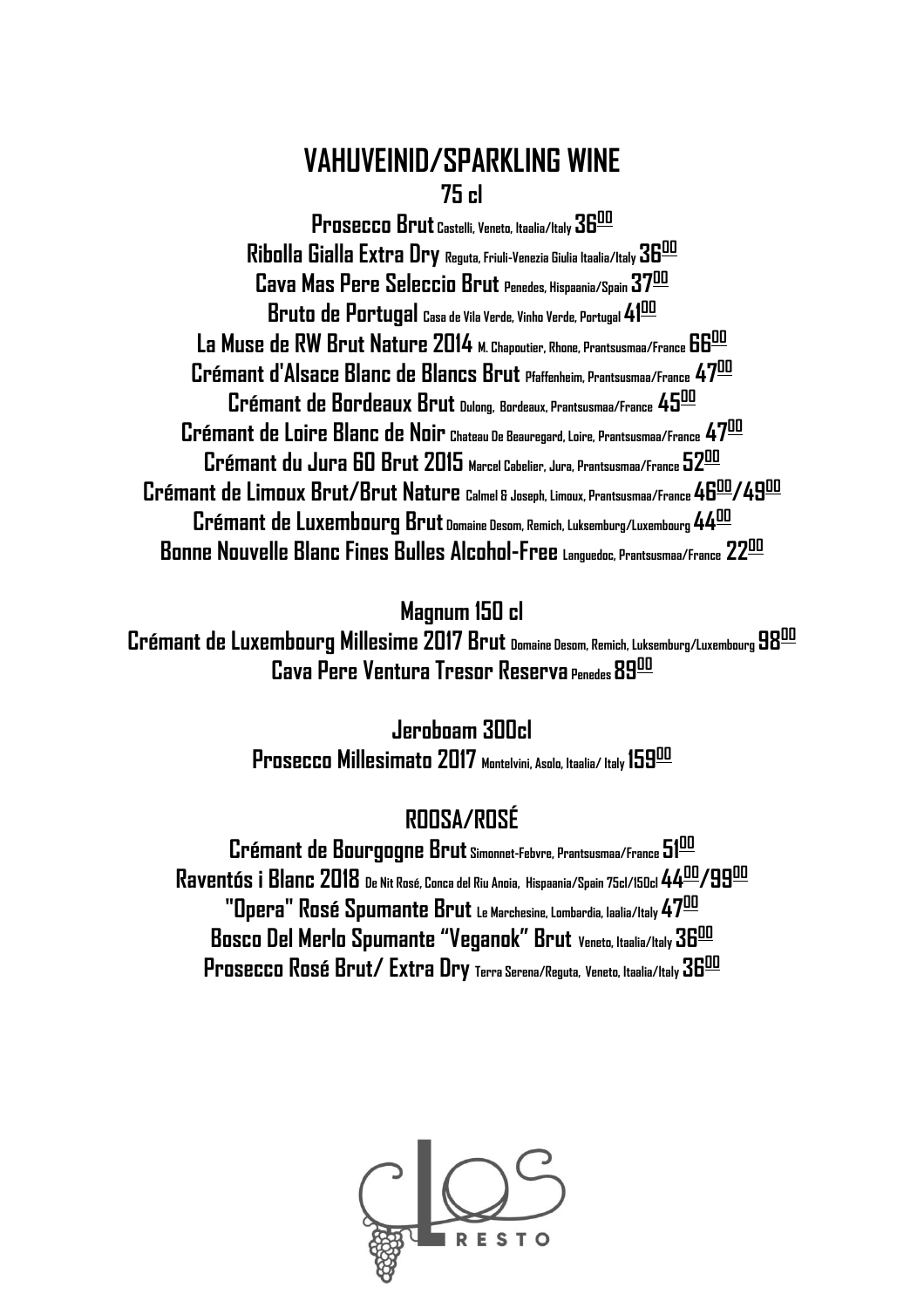# **VAHUVEINID/SPARKLING WINE 75 cl**

**Prosecco Brut Castelli, Veneto, Itaalia/Italy 36<sup>00</sup> Ribolla Gialla Extra Dry Reguta, Friuli-Venezia Giulia Itaalia/Italy36 00 Cava Mas Pere Seleccio Brut Penedes, Hispaania/Spain 37 00 Bruto de Portugal Casa de Vila Verde, Vinho Verde, Portugal 41<sup>00</sup> La Muse de RW Brut Nature 2014 M. Chapoutier, Rhone, Prantsusmaa/France 66<sup>00</sup> Crémant d'Alsace Blanc de Blancs Brut Pfaffenheim, Prantsusmaa/France 47<sup>00</sup> Crémant de Bordeaux Brut Dulong, Bordeaux, Prantsusmaa/France 45<sup>00</sup> Crémant de Loire Blanc de Noir Chateau De Beauregard, Loire, Prantsusmaa/France 47 00 Crémant du Jura 60 Brut 2015 Marcel Cabelier, Jura, Prantsusmaa/France 52<sup>00</sup> Crémant de Limoux Brut/Brut Nature Calmel & Joseph, Limoux, Prantsusmaa/France 46<sup>00</sup>/49<sup>00</sup> Crémant de Luxembourg Brut Domaine Desom, Remich, Luksemburg/Luxembourg 44<sup>00</sup> Bonne Nouvelle Blanc Fines Bulles Alcohol-Free Languedoc, Prantsusmaa/France 22<sup>00</sup>**

**Magnum 150 cl**

**Crémant de Luxembourg Millesime 2017 Brut Domaine Desom, Remich, Luksemburg/Luxembourg 98 00 Cava Pere Ventura Tresor Reserva Penedes 89 00**

> **Jeroboam 300cl Prosecco Millesimato 2017 Montelvini, Asolo, Itaalia/ Italy 159<sup>00</sup>**

# **ROOSA/ROSÉ**

**Crémant de Bourgogne Brut Simonnet-Febvre, Prantsusmaa/France 51<sup>00</sup> Raventós i Blanc 2018 De Nit Rosé, Conca del Riu Anoia, Hispaania/Spain 75cl/150cl 44<sup>00</sup>/99<sup>00</sup> "Opera" Rosé Spumante Brut Le Marchesine, Lombardia, Iaalia/Italy 47<sup>00</sup> Bosco Del Merlo Spumante "Veganok" Brut Veneto, Itaalia/Italy 36<sup>00</sup> Prosecco Rosé Brut/ Extra Dry Terra Serena/Reguta, Veneto, Itaalia/Italy 36<sup>00</sup>**

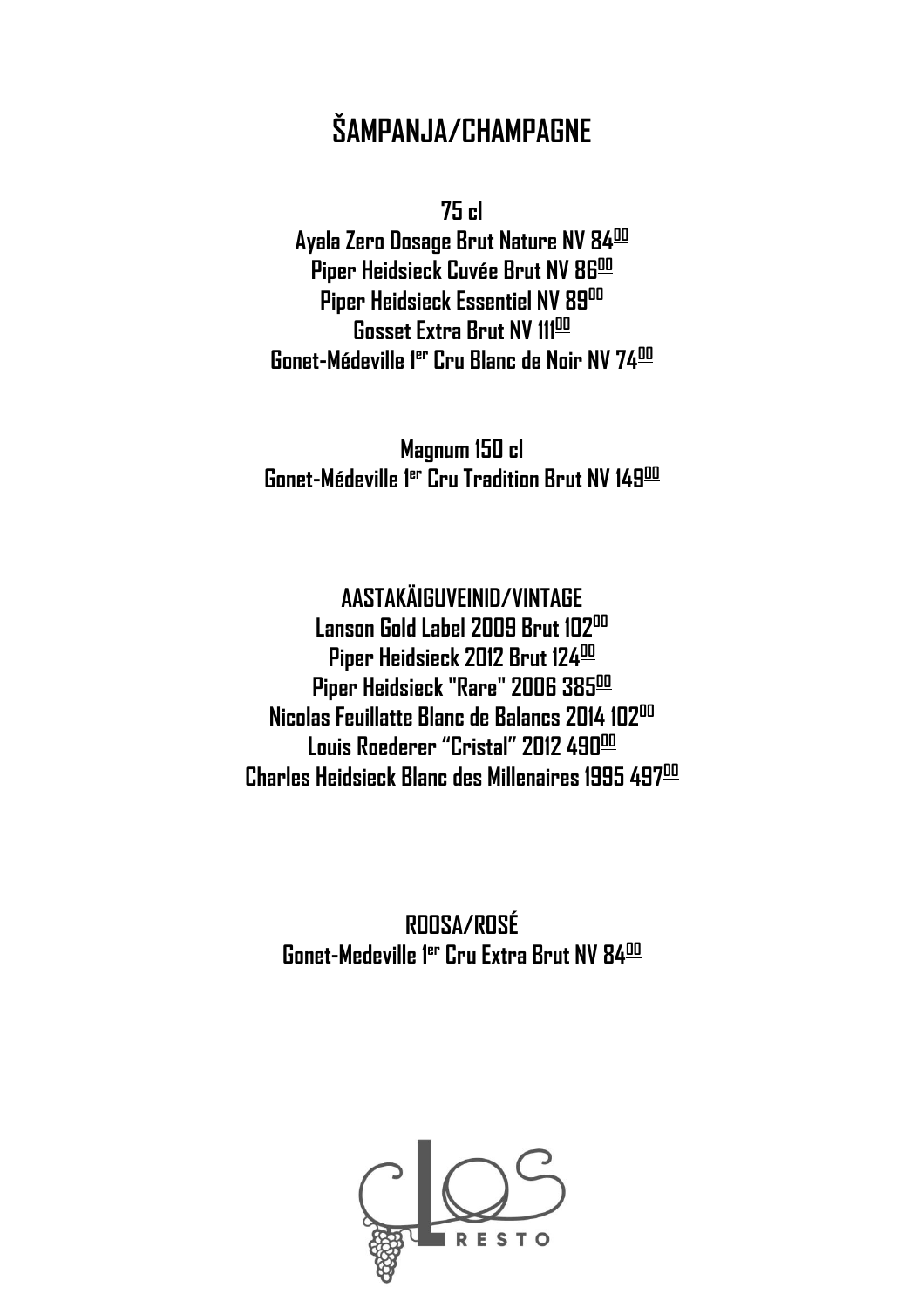# **ŠAMPANJA/CHAMPAGNE**

**75 cl**

**Ayala Zero Dosage Brut Nature NV 84<sup>00</sup> Piper Heidsieck Cuvée Brut NV 86<sup>00</sup> Piper Heidsieck Essentiel NV 89 00 Gosset Extra Brut NV 111<sup>00</sup> Gonet-Médeville 1 er Cru Blanc de Noir NV 74<sup>00</sup>**

**Magnum 150 cl Gonet-Médeville 1 er Cru Tradition Brut NV 149 00**

**AASTAKÄIGUVEINID/VINTAGE Lanson Gold Label 2009 Brut 102<sup>00</sup> Piper Heidsieck 2012 Brut 124<sup>00</sup> Piper Heidsieck "Rare" 2006 385 00 Nicolas Feuillatte Blanc de Balancs 2014 102<sup>00</sup> Louis Roederer "Cristal" 2012 490<sup>00</sup> Charles Heidsieck Blanc des Millenaires 1995 497<sup>00</sup>**

**ROOSA/ROSÉ Gonet-Medeville 1 er Cru Extra Brut NV 84<sup>00</sup>**

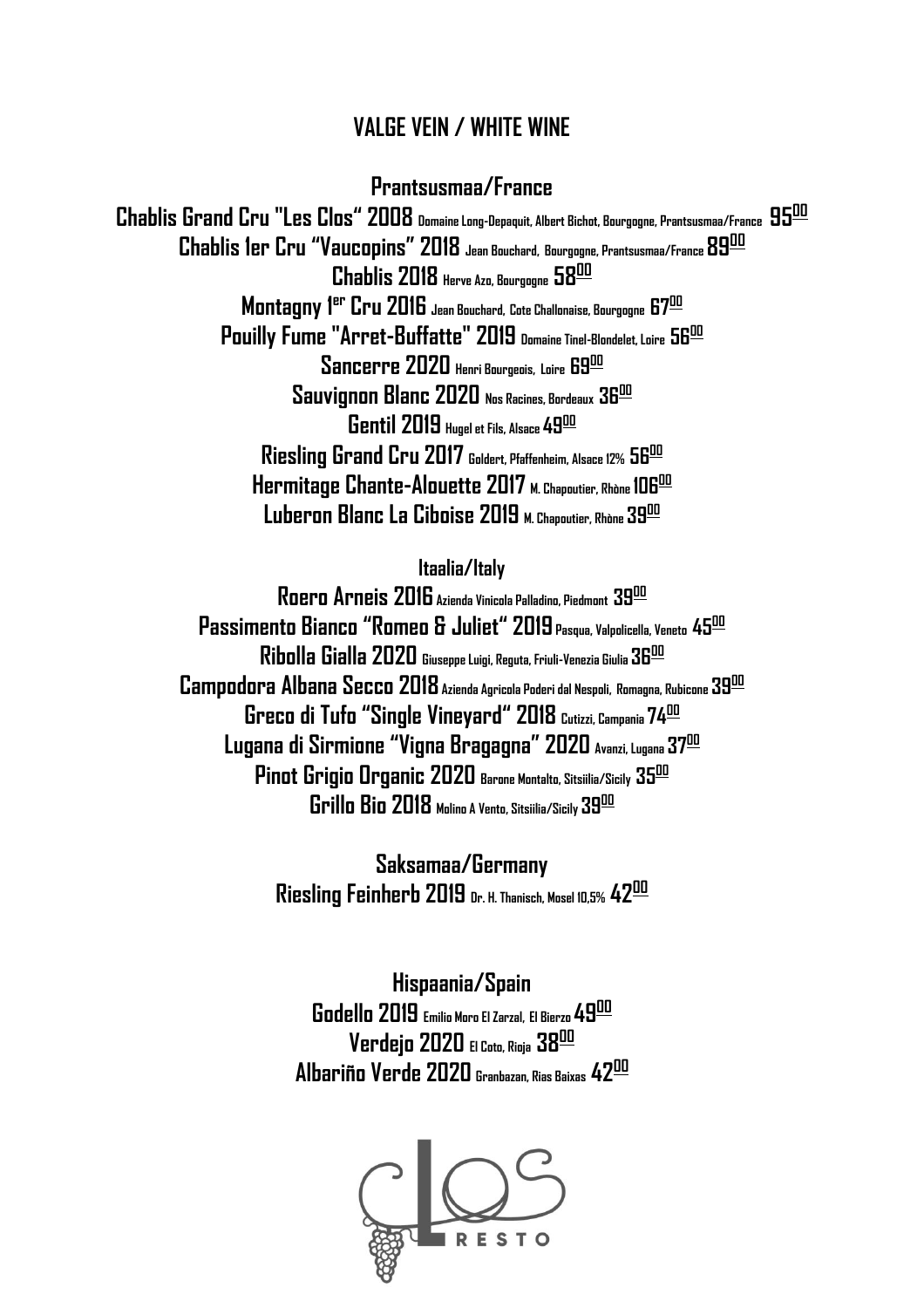## **VALGE VEIN / WHITE WINE**

#### **Prantsusmaa/France**

**Chablis Grand Cru "Les Clos" 2008 Domaine Long-Depaquit, Albert Bichot, Bourgogne, Prantsusmaa/France 95<sup>00</sup> Chablis 1er Cru "Vaucopins" 2018 Jean Bouchard, Bourgogne, Prantsusmaa/France 89<sup>00</sup> Chablis 2018 Herve Azo, Bourgogne 58 00 Montagny 1 er Cru 2016 Jean Bouchard, Cote Challonaise, Bourgogne 67 00 Pouilly Fume "Arret-Buffatte" 2019 Domaine Tinel-Blondelet, Loire 56 00 Sancerre 2020 Henri Bourgeois, Loire 69<sup>00</sup> Sauvignon Blanc 2020 Nos Racines, Bordeaux 36 00 Gentil 2019 Hugel et Fils, Alsace 49<sup>00</sup> Riesling Grand Cru 2017 Goldert, Pfaffenheim, Alsace 12% 56 00 Hermitage Chante-Alouette 2017 M. Chapoutier, Rhòne 106<sup>00</sup> Luberon Blanc La Ciboise 2019 M. Chapoutier, Rhòne 39 00**

#### **Itaalia/Italy**

**Roero Arneis 2016 Azienda Vinicola Palladino, Piedmont 39 00 Passimento Bianco "Romeo & Juliet" 2019Pasqua, Valpolicella, Veneto 45<sup>00</sup> Ribolla Gialla 2020 Giuseppe Luigi, Reguta, Friuli-Venezia Giulia 36 00 Campodora Albana Secco 2018Azienda Agricola Poderi dal Nespoli, Romagna, Rubicone 39<sup>00</sup> Greco di Tufo "Single Vineyard" 2018 Cutizzi, Campania 74<sup>00</sup> Lugana di Sirmione "Vigna Bragagna" 2020 Avanzi, Lugana 37<sup>00</sup> Pinot Grigio Organic 2020 Barone Montalto, Sitsiilia/Sicily 35 00 Grillo Bio 2018 Molino A Vento, Sitsiilia/Sicily 39 00** 

> **Saksamaa/Germany Riesling Feinherb 2019 Dr. H. Thanisch, Mosel 10,5% 42<sup>00</sup>**

**Hispaania/Spain Godello 2019 Emilio Moro El Zarzal, El Bierzo 49 00 Verdejo 2020 El Coto, Rioja 38 00 Albariño Verde 2020 Granbazan, Rias Baixas 42 00**

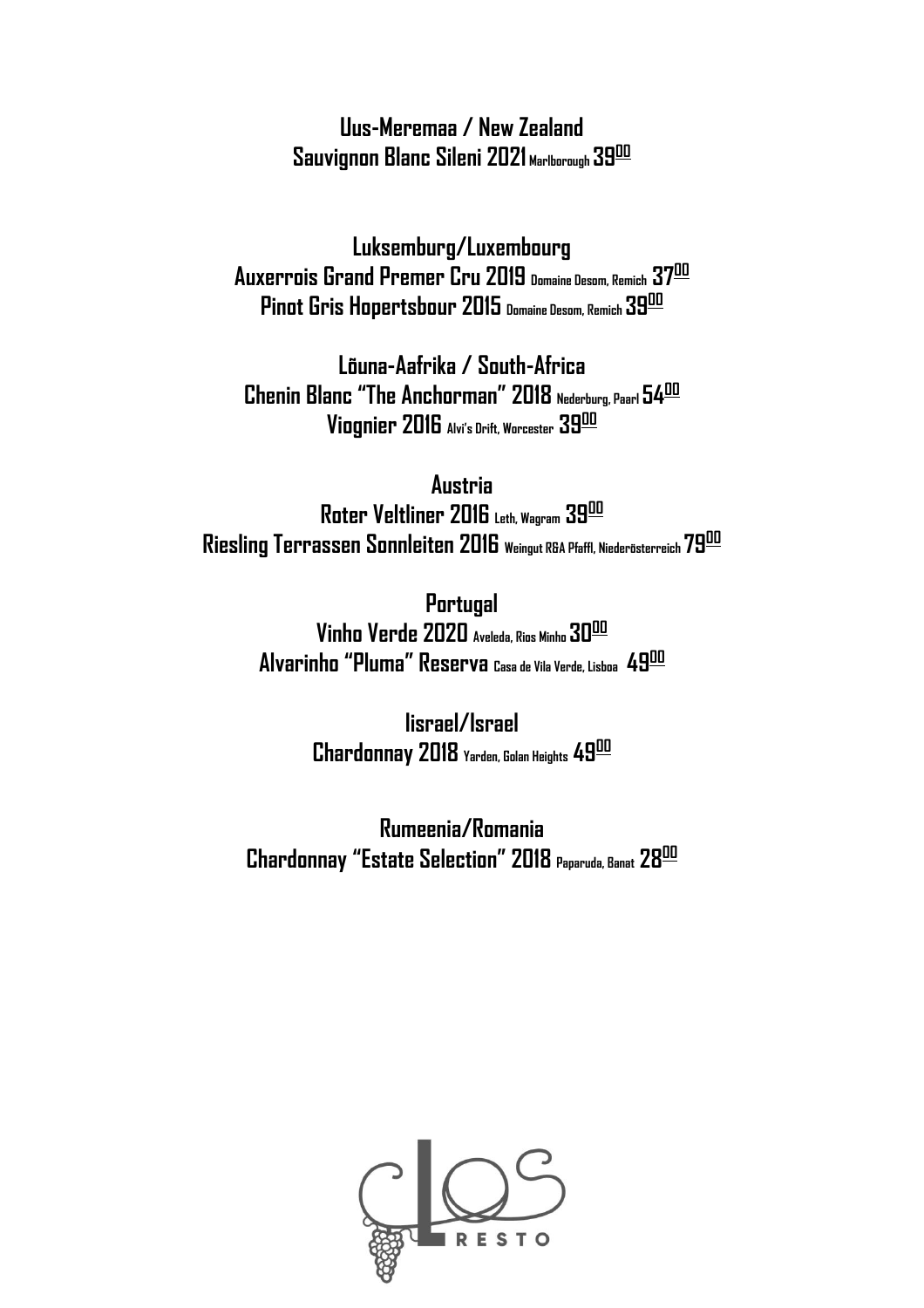**Uus-Meremaa / New Zealand Sauvignon Blanc Sileni 2021 Marlborough 39<sup>00</sup>**

**Luksemburg/Luxembourg Auxerrois Grand Premer Cru 2019 Domaine Desom, Remich 37<sup>00</sup> Pinot Gris Hopertsbour 2015 Domaine Desom, Remich 39<sup>00</sup>**

**Lõuna-Aafrika / South-Africa Chenin Blanc "The Anchorman" 2018 Nederburg, Paarl 54<sup>00</sup> Viognier 2016 Alvi's Drift, Worcester 39 00**

**Austria Roter Veltliner 2016 Leth, Wagram 39<sup>00</sup> Riesling Terrassen Sonnleiten 2016 Weingut R&A Pfaffl, Niederösterreich 79 00**

> **Portugal Vinho Verde 2020 Aveleda, Rios Minho 30<sup>00</sup> Alvarinho "Pluma" Reserva Casa de Vila Verde, Lisboa 49 00**

> > **Iisrael/Israel Chardonnay 2018 Yarden, Golan Heights 49<sup>00</sup>**

**Rumeenia/Romania Chardonnay "Estate Selection" 2018 Paparuda, Banat 28 00**

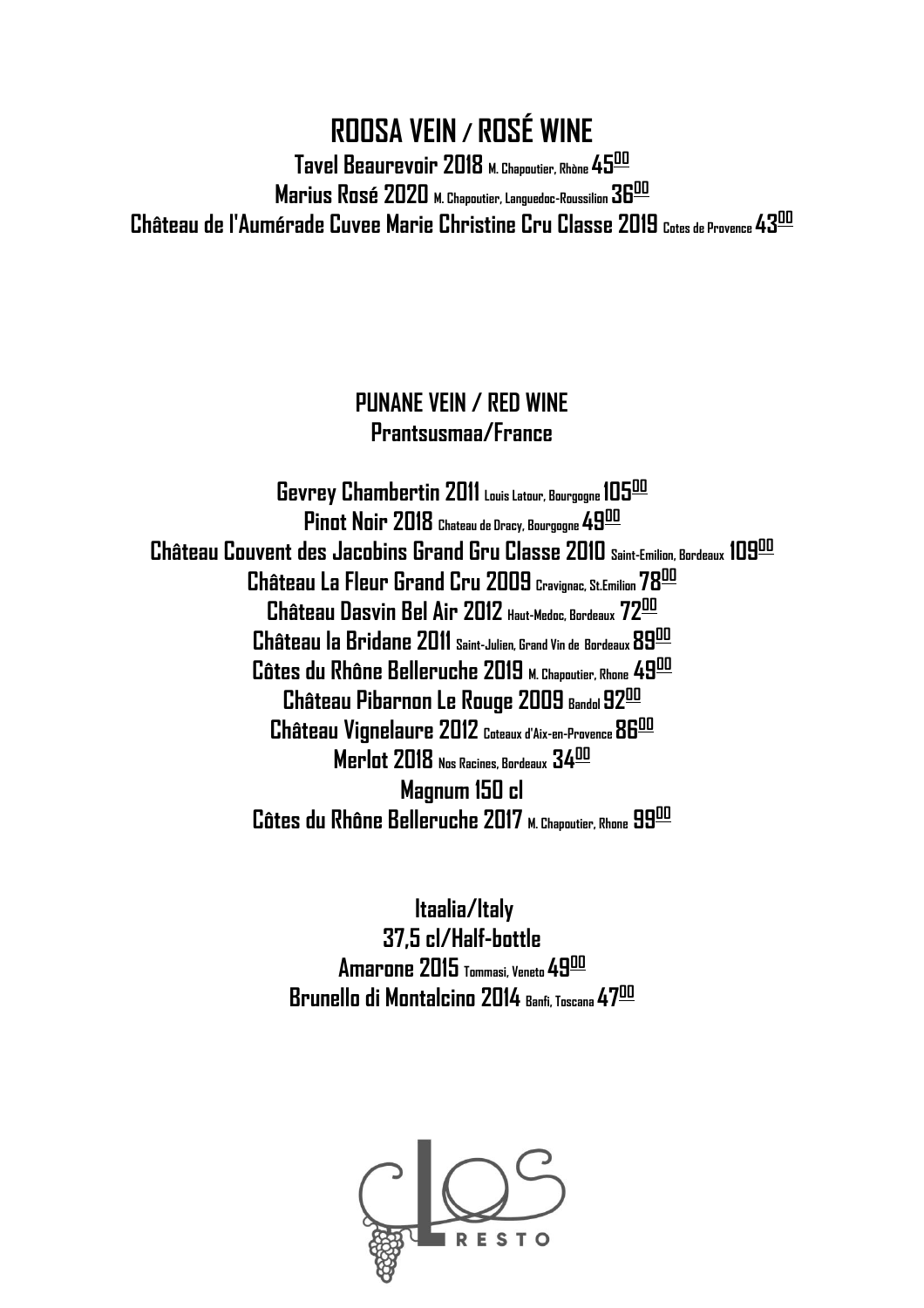# **ROOSA VEIN / ROSÉ WINE Tavel Beaurevoir 2018 M. Chapoutier, Rhòne 45<sup>00</sup> Marius Rosé 2020 M. Chapoutier, Languedoc-Roussilion 36 00 Château de l'Aumérade Cuvee Marie Christine Cru Classe 2019 Cotes de Provence 43<sup>00</sup>**

# **PUNANE VEIN / RED WINE Prantsusmaa/France**

**Gevrey Chambertin 2011 Louis Latour, Bourgogne 105<sup>00</sup> Pinot Noir 2018 Chateau de Dracy, Bourgogne 49<sup>00</sup> Château Couvent des Jacobins Grand Gru Classe 2010 Saint-Emilion, Bordeaux 109<sup>00</sup> Château La Fleur Grand Cru 2009 Cravignac, St.Emilion 78<sup>00</sup> Château Dasvin Bel Air 2012 Haut-Medoc, Bordeaux 72<sup>00</sup> Château la Bridane 2011 Saint-Julien, Grand Vin de Bordeaux 89<sup>00</sup> Côtes du Rhône Belleruche 2019 M. Chapoutier, Rhone 49<sup>00</sup> Château Pibarnon Le Rouge 2009 Bandol92<sup>00</sup> Château Vignelaure 2012 Coteaux d'Aix-en-Provence 86 00 Merlot 2018 Nos Racines, Bordeaux 34 00 Magnum 150 cl Côtes du Rhône Belleruche 2017 M. Chapoutier, Rhone 99 00**

> **Itaalia/Italy 37,5 cl/Half-bottle Amarone 2015 Tommasi, Veneto 49<sup>00</sup> Brunello di Montalcino 2014 Banfi, Toscana 47<sup>00</sup>**

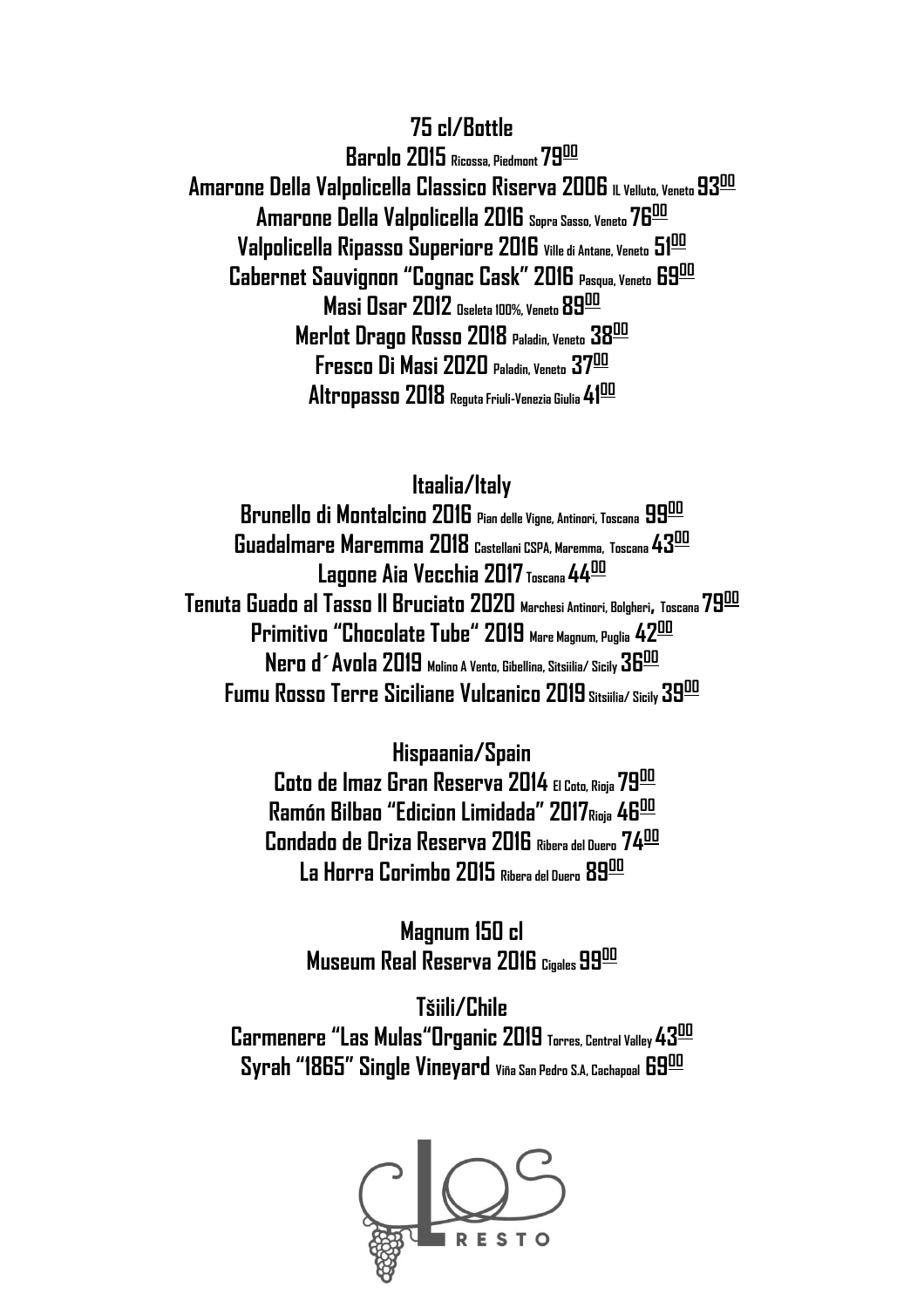#### **75 cl/Bottle**

**Barolo 2015 Ricossa, Piedmont 79 00 Amarone Della Valpolicella Classico Riserva 2006 IL Velluto, Veneto 93<sup>00</sup> Amarone Della Valpolicella 2016 Sopra Sasso, Veneto 76<sup>00</sup> Valpolicella Ripasso Superiore 2016 Ville di Antane, Veneto 51<sup>00</sup> Cabernet Sauvignon "Cognac Cask" 2016 Pasqua, Veneto 69<sup>00</sup> Masi Osar 2012 Oseleta 100%, Veneto 89 00 Merlot Drago Rosso 2018 Paladin, Veneto 38 00 Fresco Di Masi 2020 Paladin, Veneto 37<sup>00</sup> Altropasso 2018 Reguta Friuli-Venezia Giulia 41<sup>00</sup>**

#### **Itaalia/Italy**

**Brunello di Montalcino 2016 Pian delle Vigne, Antinori, Toscana 99<sup>00</sup> Guadalmare Maremma 2018 Castellani CSPA, Maremma, Toscana 43<sup>00</sup> Lagone Aia Vecchia 2017 Toscana 44<sup>00</sup> Tenuta Guado al Tasso Il Bruciato 2020 Marchesi Antinori, Bolgheri, Toscana 79<sup>00</sup> Primitivo "Chocolate Tube" 2019 Mare Magnum, Puglia 42 00 Nero d´Avola 2019 Molino A Vento, Gibellina, Sitsiilia/ Sicily 36 00 Fumu Rosso Terre Siciliane Vulcanico 2019 Sitsiilia/ Sicily 39 00**

> **Hispaania/Spain Coto de Imaz Gran Reserva 2014 El Coto, Rioja 79<sup>00</sup> Ramón Bilbao "Edicion Limidada" 2017Rioja 46 00 Condado de Oriza Reserva 2016 Ribera del Duero 74<sup>00</sup> La Horra Corimbo 2015 Ribera del Duero 89 00**

> > **Magnum 150 cl Museum Real Reserva 2016 Cigales 99 00**

**Tšiili/Chile Carmenere "Las Mulas"Organic 2019 Torres, Central Valley 43<sup>00</sup> Syrah "1865" Single Vineyard Viña San Pedro S.A, Cachapoal 69<sup>00</sup>**

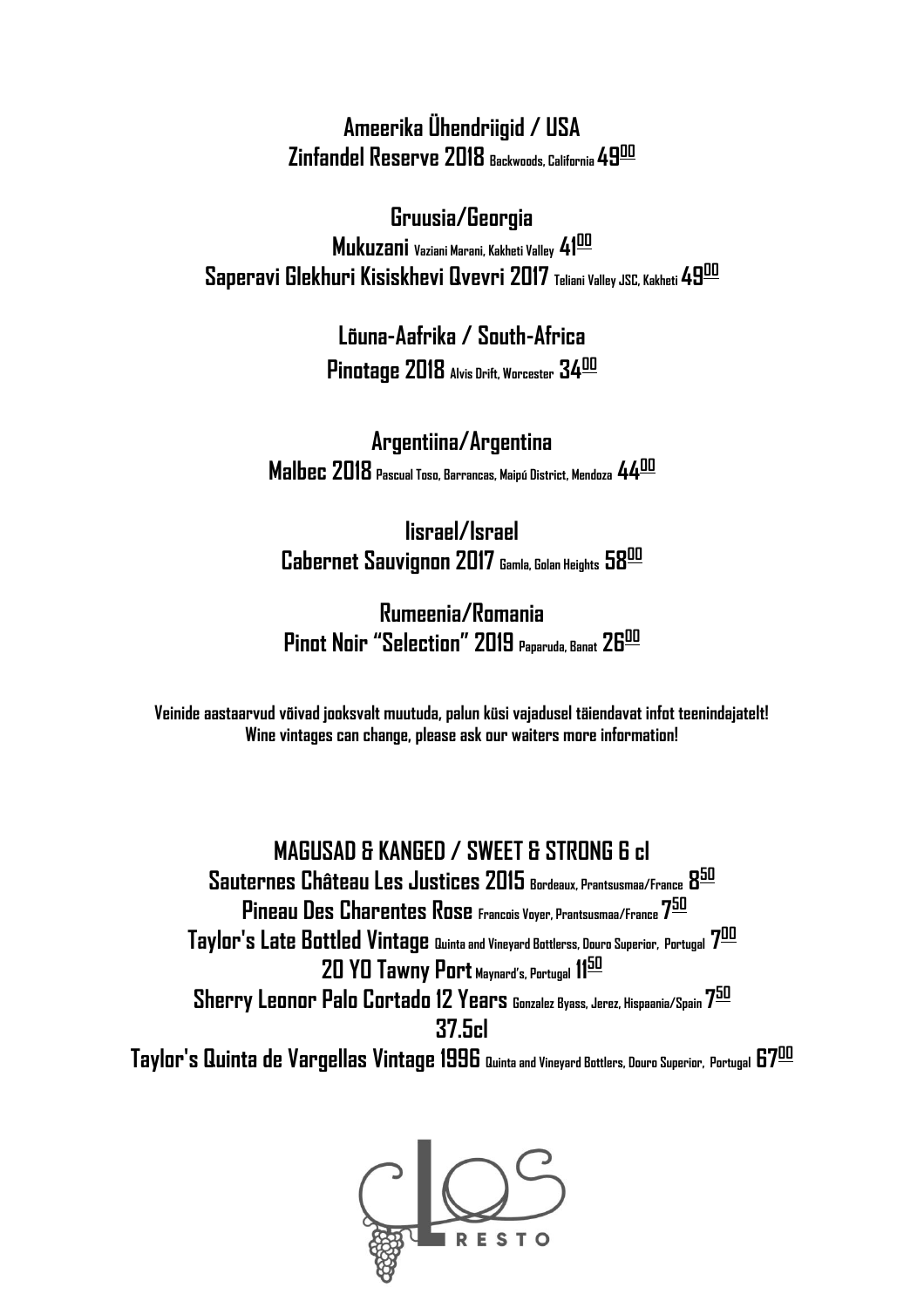**Ameerika Ühendriigid / USA Zinfandel Reserve 2018 Backwoods, California 49<sup>00</sup>**

**Gruusia/Georgia Mukuzani Vaziani Marani, Kakheti Valley 41<sup>00</sup> Saperavi Glekhuri Kisiskhevi Qvevri 2017 Teliani Valley JSC, Kakheti 49 00**

> **Lõuna-Aafrika / South-Africa Pinotage 2018 Alvis Drift, Worcester 34<sup>00</sup>**

**Argentiina/Argentina Malbec 2018 Pascual Toso, Barrancas, Maipú District, Mendoza 44<sup>00</sup>**

**Iisrael/Israel Cabernet Sauvignon 2017 Gamla, Golan Heights 58 00**

**Rumeenia/Romania Pinot Noir "Selection" 2019 Paparuda, Banat 26 00**

**Veinide aastaarvud võivad jooksvalt muutuda, palun küsi vajadusel täiendavat infot teenindajatelt! Wine vintages can change, please ask our waiters more information!**

**MAGUSAD & KANGED / SWEET & STRONG 6 cl Sauternes Château Les Justices 2015 Bordeaux, Prantsusmaa/France 8 50 Pineau Des Charentes Rose Francois Voyer, Prantsusmaa/France 7 50 Taylor's Late Bottled Vintage Quinta and Vineyard Bottlerss, Douro Superior, Portugal 7 00 20 YO Tawny Port Maynard's, Portugal 11<sup>50</sup> Sherry Leonor Palo Cortado 12 Years Gonzalez Byass, Jerez, Hispaania/Spain 7 50 37.5cl Taylor's Quinta de Vargellas Vintage 1996 Quinta and Vineyard Bottlers, Douro Superior, Portugal 67<sup>00</sup>**

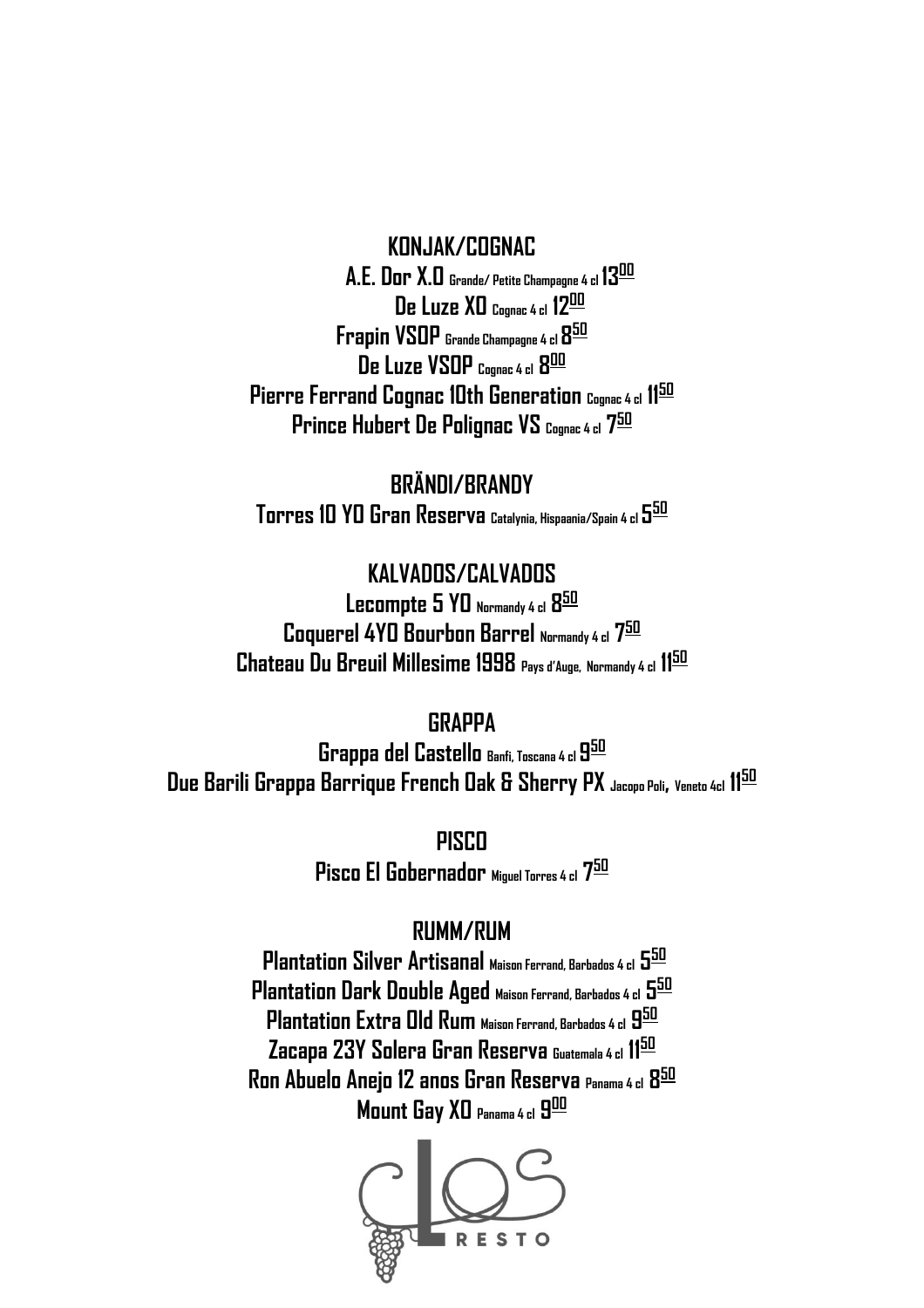#### **KONJAK/COGNAC**

**A.E. Dor X.O Grande/ Petite Champagne 4 cl 13<sup>00</sup> De Luze XO Cognac 4 cl 12<sup>00</sup> Frapin VSOP Grande Champagne 4 cl 8 50 De Luze VSOP Cognac 4 cl 8 00 Pierre Ferrand Cognac 10th Generation Cognac 4 cl 11<sup>50</sup> Prince Hubert De Polignac VS Cognac 4 cl 7 50**

**BRÄNDI/BRANDY Torres 10 YO Gran Reserva Catalynia, Hispaania/Spain 4 cl 5 50**

> **KALVADOS/CALVADOS Lecompte 5 YO Normandy 4 cl 8 50**

**Coquerel 4YO Bourbon Barrel Normandy 4 cl 7 50 Chateau Du Breuil Millesime 1998 Pays d'Auge, Normandy 4 cl 11<sup>50</sup>**

**GRAPPA**

**Grappa del Castello Banfi, Toscana 4 cl 9 50 Due Barili Grappa Barrique French Oak & Sherry PX Jacopo Poli, Veneto 4cl 11<sup>50</sup>**

> **PISCO Pisco El Gobernador Miguel Torres 4 cl 7 50**

#### **RUMM/RUM**

**Plantation Silver Artisanal Maison Ferrand, Barbados 4 cl 5 50 Plantation Dark Double Aged Maison Ferrand, Barbados 4 cl 5 50 Plantation Extra Old Rum Maison Ferrand, Barbados 4 cl 9 50 Zacapa 23Y Solera Gran Reserva Guatemala 4 cl 11<sup>50</sup> Ron Abuelo Anejo 12 anos Gran Reserva Panama 4 cl 8 50 Mount Gay XO Panama 4 cl 9 00**

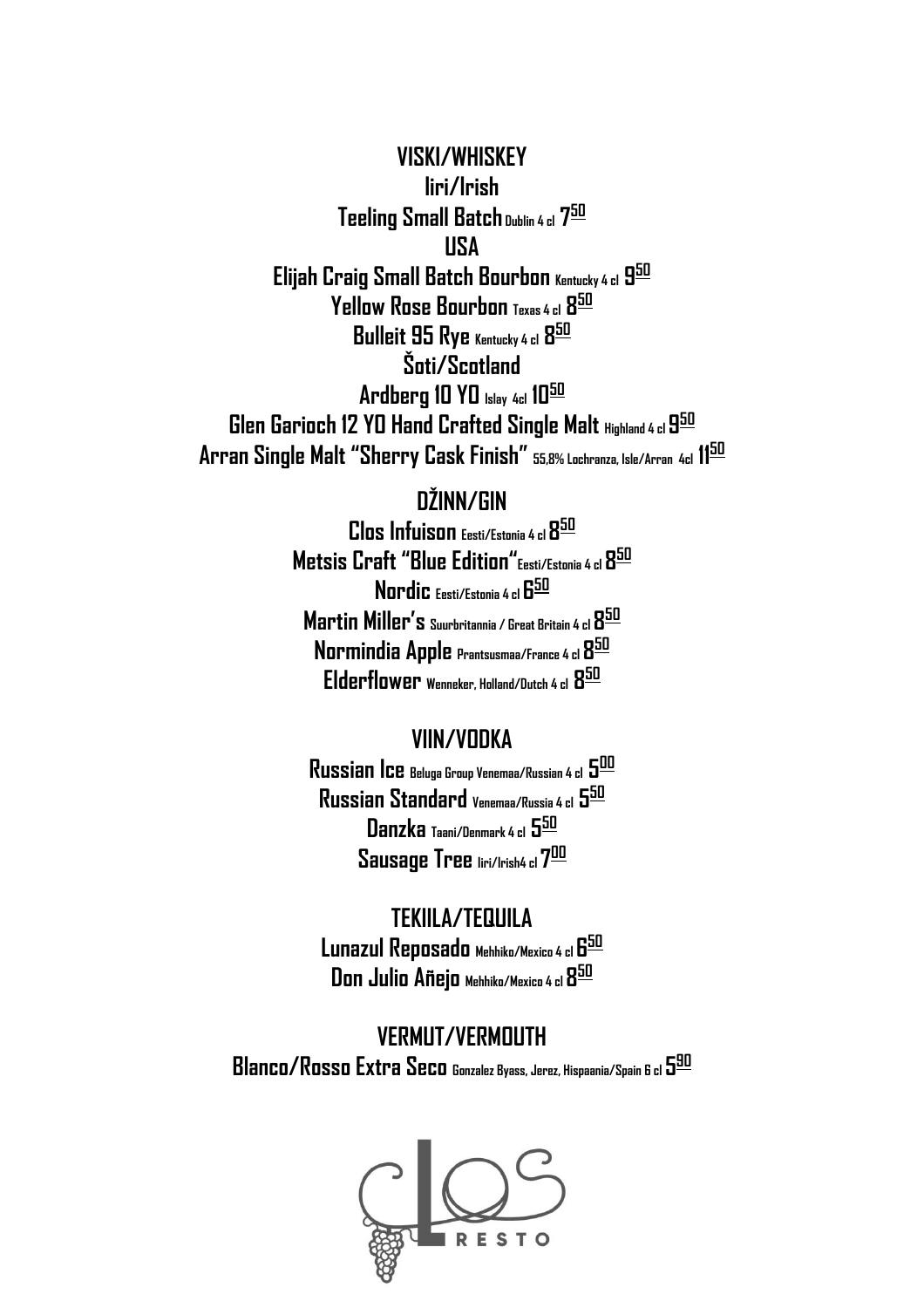**VISKI/WHISKEY Iiri/Irish Teeling Small Batch Dublin 4 cl 7 50 USA Elijah Craig Small Batch Bourbon Kentucky 4 cl 9 50 Yellow Rose Bourbon Texas 4 cl 8 50 Bulleit 95 Rye Kentucky 4 cl 8 50 Šoti/Scotland Ardberg 10 YO Islay 4cl 10<sup>50</sup> Glen Garioch 12 YO Hand Crafted Single Malt Highland 4 cl 9 50 Arran Single Malt "Sherry Cask Finish" 55,8% Lochranza, Isle/Arran 4cl 11 50**

# **DŽINN/GIN**

**Clos Infuison Eesti/Estonia 4 cl8 50 Metsis Craft "Blue Edition"Eesti/Estonia 4 cl 8 50 Nordic Eesti/Estonia 4 cl 6 50 Martin Miller's Suurbritannia / Great Britain 4 cl 8 50 Normindia Apple Prantsusmaa/France 4 cl 8 50 Elderflower Wenneker, Holland/Dutch 4 cl 8 50**

## **VIIN/VODKA**

**Russian Ice Beluga Group Venemaa/Russian 4 cl 5 00 Russian Standard Venemaa/Russia 4 cl 5 50 Danzka Taani/Denmark 4 cl 5 50 Sausage Tree Iiri/Irish4 cl 7 00**

# **TEKIILA/TEQUILA**

**Lunazul Reposado Mehhiko/Mexico 4 cl 6 50 Don Julio Añejo Mehhiko/Mexico 4 cl 8 50**

**VERMUT/VERMOUTH Blanco/Rosso Extra Seco Gonzalez Byass, Jerez, Hispaania/Spain 6 cl 5 90**

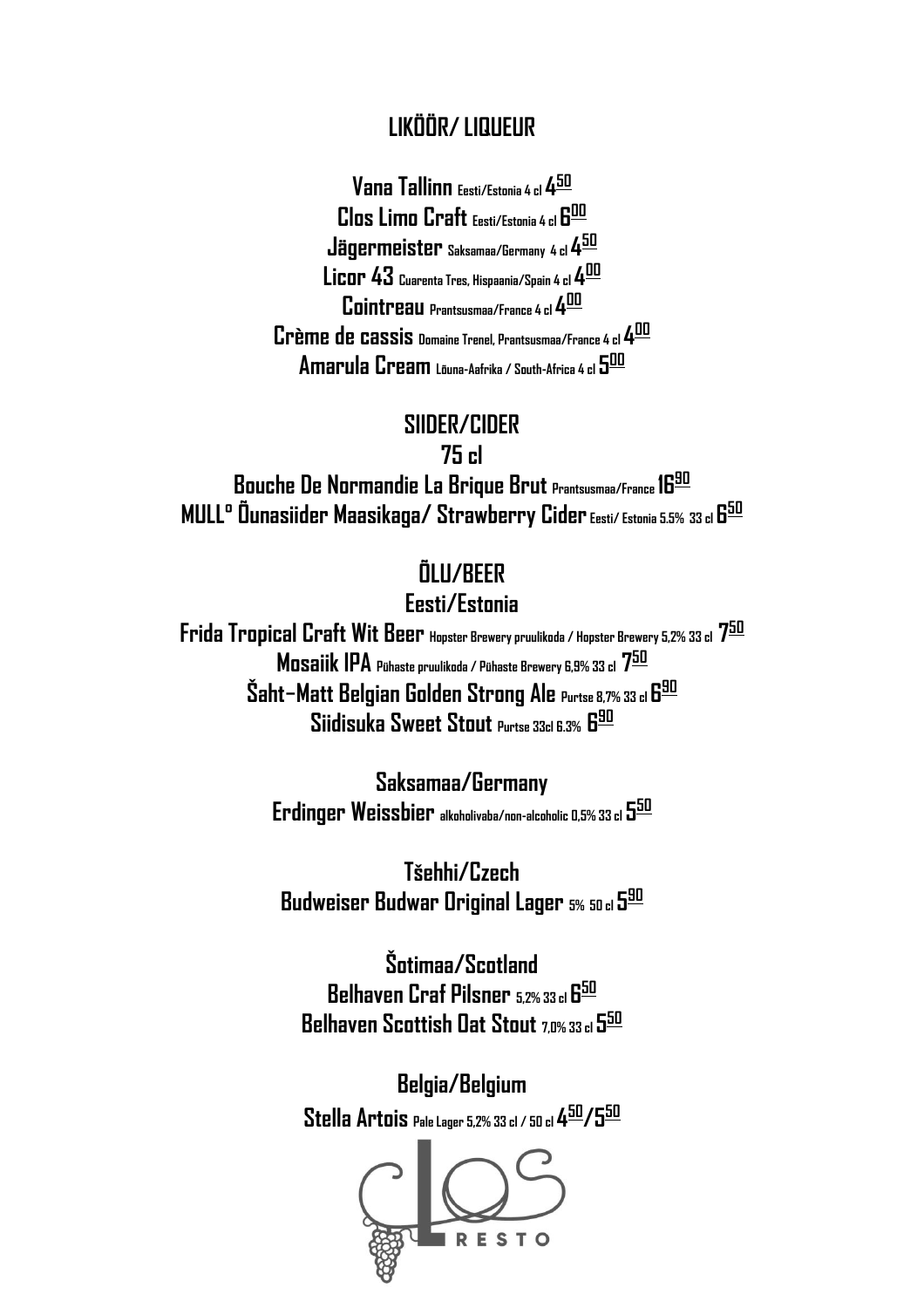# **LIKÖÖR/ LIQUEUR**

**Vana Tallinn Eesti/Estonia 4 cl 4 50 Clos Limo Craft Eesti/Estonia 4 cl 6 00 Jägermeister Saksamaa/Germany 4 cl 4 50 Licor 43 Cuarenta Tres, Hispaania/Spain 4 cl 4 00 Cointreau Prantsusmaa/France 4 cl 4 00 Crème de cassis Domaine Trenel, Prantsusmaa/France 4 cl 4 00 Amarula Cream Lõuna-Aafrika / South-Africa 4 cl 5 00**

## **SIIDER/CIDER**

**75 cl**

**Bouche De Normandie La Brique Brut Prantsusmaa/France 16 90 MULL° Õunasiider Maasikaga/ Strawberry Cider Eesti/ Estonia 5.5% 33 cl 6 50**

# **ÕLU/BEER**

#### **Eesti/Estonia**

**Frida Tropical Craft Wit Beer Hopster Brewery pruulikoda / Hopster Brewery 5,2% 33 cl 7 50 Mosaiik IPA Pühaste pruulikoda / Pühaste Brewery 6,9% 33 cl 7 50**  $\bold{\check{S}}$ aht—Matt Belgian Golden Strong Ale Purtse 8,7% 33 cl 6<sup>90</sup> **Siidisuka Sweet Stout Purtse 33cl 6.3% 6 90**

> **Saksamaa/Germany Erdinger Weissbier alkoholivaba/non-alcoholic 0,5% 33 cl 5 50**

**Tšehhi/Czech Budweiser Budwar Original Lager 5% 50 cl 5 90**

**Šotimaa/Scotland Belhaven Craf Pilsner 5,2% 33 cl 6 50 Belhaven Scottish Oat Stout 7,0% 33 cl 5 50**

**Belgia/Belgium Stella Artois Pale Lager 5,2% 33 cl / 50 cl 4 50/550**